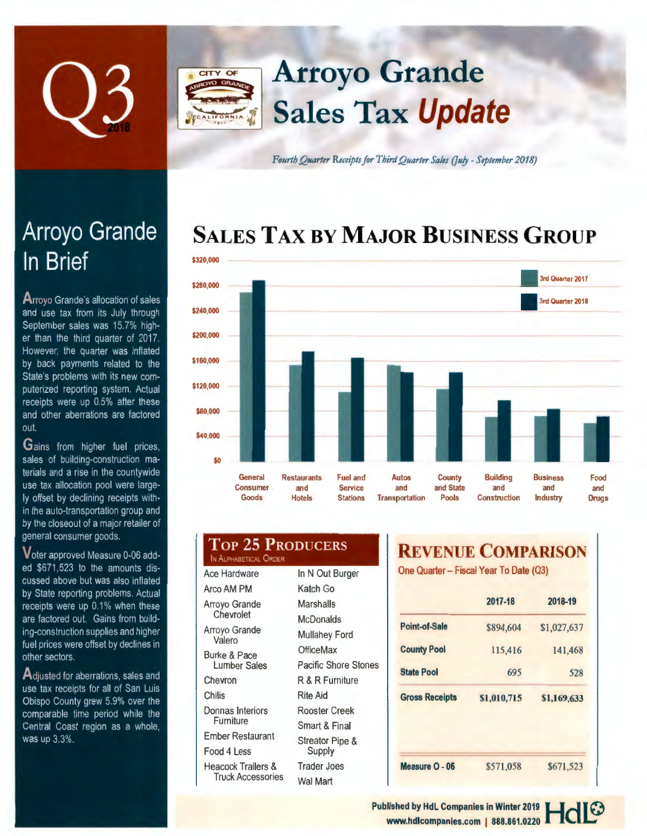

# Arroyo Grande CITY OF Sales Tax **Update**

**Fourth Quarter Receipts for Third Quarter Sales (July - September 2018)** 

# **SALES TAX BY MAJOR BUSINESS GROUP**



| <b>TOP 25 PRODUCERS</b><br>IN ALPHABETICAL ORDER          |                             |            |
|-----------------------------------------------------------|-----------------------------|------------|
| Ace Hardware                                              | In N Out Burger             | On         |
| Arco AM PM                                                | Katch Go                    |            |
| Arrovo Grande<br>Chevrolet                                | Marshalls                   |            |
|                                                           | <b>McDonalds</b>            |            |
| Arroyo Grande<br>Valero                                   | <b>Mullahey Ford</b>        | Po         |
| Burke & Pace                                              | OfficeMax                   | Co         |
| <b>Lumber Sales</b>                                       | <b>Pacific Shore Stones</b> | <b>Sta</b> |
| Chevron                                                   | R & R Furniture             |            |
| Chilis                                                    | <b>Rite Aid</b>             | Gr         |
| Donnas Interiors<br>Furniture                             | Rooster Creek               |            |
|                                                           | Smart & Final               |            |
| <b>Ember Restaurant</b>                                   | Streator Pipe &             |            |
| Food 4 Less                                               | Supply                      |            |
| <b>Heacock Trailers &amp;</b><br><b>Truck Accessories</b> | <b>Trader Joes</b>          | Me         |
|                                                           | Wal Mart                    |            |

## **REVENUE COMPARISON**

e Quarter - Fiscal Year To Date (Q3)

|                       | 2017-18     | 2018-19     |
|-----------------------|-------------|-------------|
| Point-of-Sale         | \$894.604   | \$1,027,637 |
| <b>County Pool</b>    | 115,416     | 141,468     |
| <b>State Pool</b>     | 695         | 528         |
|                       |             |             |
| <b>Gross Receipts</b> | \$1,010,715 | \$1,169,633 |
|                       |             |             |

# Arroyo Grande In Brief

**A rroyo** Grande·s allocation of sales and use tax from its July through September sales was 15.7% higher than the third quarter of 2017. However. the quarter was inflated by back payments related to the State's problems with its new computerized reporting system. Actual receipts were up 0.5% after these and other aberrations are factored out.

**Gains** from higher fuel prices. sales of building-construction materials and a rise in the countywide use tax allocation pool were largely offset by declining receipts within the auto-transportation group and by the closeout of a major retailer of general consumer goods.

Voter approved Measure 0-06 added \$671 .523 to the amounts discussed above but was also inflated by State reporting problems. Actual receipts were up 0.1% when these are factored out. Gains from building-construction supplies and higher fuel prices were offset by declines in other sectors.

A diusted for aberrations, sales and use tax receipts for all of San Luis Obispo County grew 5.9% over the comparable time period while the Central Coast region as a whole, was up 3.3%.

> Published by HdL Companies in Winter 2019 **HdI** <sup>©</sup> www.hdlcompanies.com | 888.861.0220 **. ILLE**